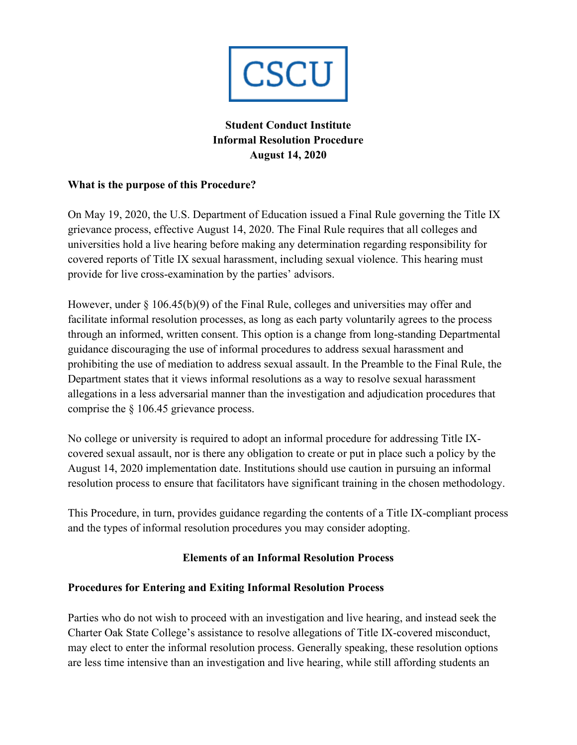

# **Student Conduct Institute Informal Resolution Procedure August 14, 2020**

### **What is the purpose of this Procedure?**

On May 19, 2020, the U.S. Department of Education issued a Final Rule governing the Title IX grievance process, effective August 14, 2020. The Final Rule requires that all colleges and universities hold a live hearing before making any determination regarding responsibility for covered reports of Title IX sexual harassment, including sexual violence. This hearing must provide for live cross-examination by the parties' advisors.

However, under § 106.45(b)(9) of the Final Rule, colleges and universities may offer and facilitate informal resolution processes, as long as each party voluntarily agrees to the process through an informed, written consent. This option is a change from long-standing Departmental guidance discouraging the use of informal procedures to address sexual harassment and prohibiting the use of mediation to address sexual assault. In the Preamble to the Final Rule, the Department states that it views informal resolutions as a way to resolve sexual harassment allegations in a less adversarial manner than the investigation and adjudication procedures that comprise the § 106.45 grievance process.

No college or university is required to adopt an informal procedure for addressing Title IXcovered sexual assault, nor is there any obligation to create or put in place such a policy by the August 14, 2020 implementation date. Institutions should use caution in pursuing an informal resolution process to ensure that facilitators have significant training in the chosen methodology.

This Procedure, in turn, provides guidance regarding the contents of a Title IX-compliant process and the types of informal resolution procedures you may consider adopting.

# **Elements of an Informal Resolution Process**

### **Procedures for Entering and Exiting Informal Resolution Process**

Parties who do not wish to proceed with an investigation and live hearing, and instead seek the Charter Oak State College's assistance to resolve allegations of Title IX-covered misconduct, may elect to enter the informal resolution process. Generally speaking, these resolution options are less time intensive than an investigation and live hearing, while still affording students an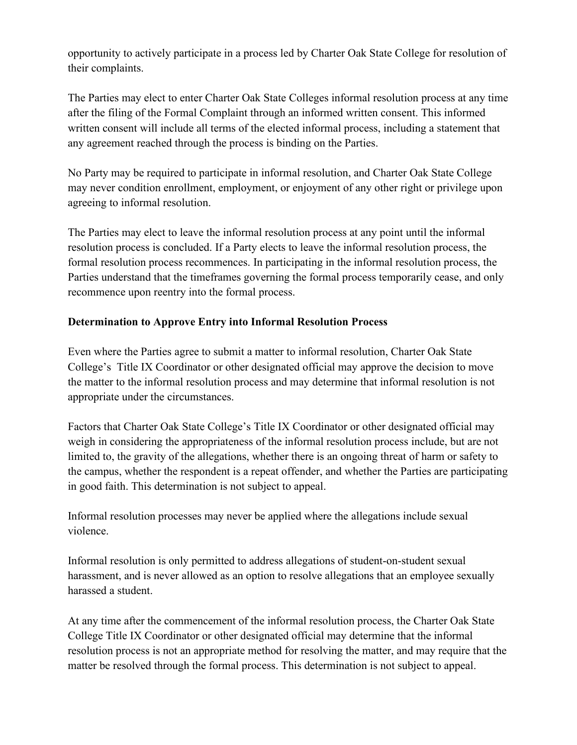opportunity to actively participate in a process led by Charter Oak State College for resolution of their complaints.

The Parties may elect to enter Charter Oak State Colleges informal resolution process at any time after the filing of the Formal Complaint through an informed written consent. This informed written consent will include all terms of the elected informal process, including a statement that any agreement reached through the process is binding on the Parties.

No Party may be required to participate in informal resolution, and Charter Oak State College may never condition enrollment, employment, or enjoyment of any other right or privilege upon agreeing to informal resolution.

The Parties may elect to leave the informal resolution process at any point until the informal resolution process is concluded. If a Party elects to leave the informal resolution process, the formal resolution process recommences. In participating in the informal resolution process, the Parties understand that the timeframes governing the formal process temporarily cease, and only recommence upon reentry into the formal process.

# **Determination to Approve Entry into Informal Resolution Process**

Even where the Parties agree to submit a matter to informal resolution, Charter Oak State College's Title IX Coordinator or other designated official may approve the decision to move the matter to the informal resolution process and may determine that informal resolution is not appropriate under the circumstances.

Factors that Charter Oak State College's Title IX Coordinator or other designated official may weigh in considering the appropriateness of the informal resolution process include, but are not limited to, the gravity of the allegations, whether there is an ongoing threat of harm or safety to the campus, whether the respondent is a repeat offender, and whether the Parties are participating in good faith. This determination is not subject to appeal.

Informal resolution processes may never be applied where the allegations include sexual violence.

Informal resolution is only permitted to address allegations of student-on-student sexual harassment, and is never allowed as an option to resolve allegations that an employee sexually harassed a student.

At any time after the commencement of the informal resolution process, the Charter Oak State College Title IX Coordinator or other designated official may determine that the informal resolution process is not an appropriate method for resolving the matter, and may require that the matter be resolved through the formal process. This determination is not subject to appeal.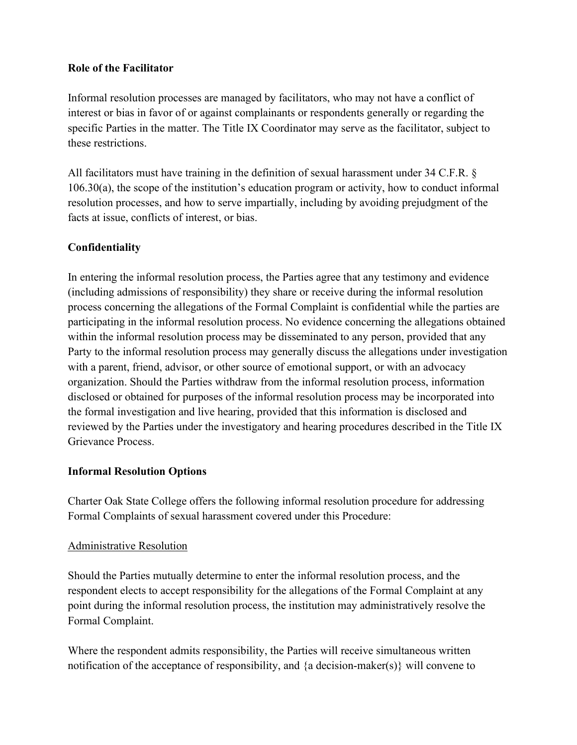### **Role of the Facilitator**

Informal resolution processes are managed by facilitators, who may not have a conflict of interest or bias in favor of or against complainants or respondents generally or regarding the specific Parties in the matter. The Title IX Coordinator may serve as the facilitator, subject to these restrictions.

All facilitators must have training in the definition of sexual harassment under 34 C.F.R. § 106.30(a), the scope of the institution's education program or activity, how to conduct informal resolution processes, and how to serve impartially, including by avoiding prejudgment of the facts at issue, conflicts of interest, or bias.

### **Confidentiality**

In entering the informal resolution process, the Parties agree that any testimony and evidence (including admissions of responsibility) they share or receive during the informal resolution process concerning the allegations of the Formal Complaint is confidential while the parties are participating in the informal resolution process. No evidence concerning the allegations obtained within the informal resolution process may be disseminated to any person, provided that any Party to the informal resolution process may generally discuss the allegations under investigation with a parent, friend, advisor, or other source of emotional support, or with an advocacy organization. Should the Parties withdraw from the informal resolution process, information disclosed or obtained for purposes of the informal resolution process may be incorporated into the formal investigation and live hearing, provided that this information is disclosed and reviewed by the Parties under the investigatory and hearing procedures described in the Title IX Grievance Process.

### **Informal Resolution Options**

Charter Oak State College offers the following informal resolution procedure for addressing Formal Complaints of sexual harassment covered under this Procedure:

### Administrative Resolution

Should the Parties mutually determine to enter the informal resolution process, and the respondent elects to accept responsibility for the allegations of the Formal Complaint at any point during the informal resolution process, the institution may administratively resolve the Formal Complaint.

Where the respondent admits responsibility, the Parties will receive simultaneous written notification of the acceptance of responsibility, and {a decision-maker(s)} will convene to